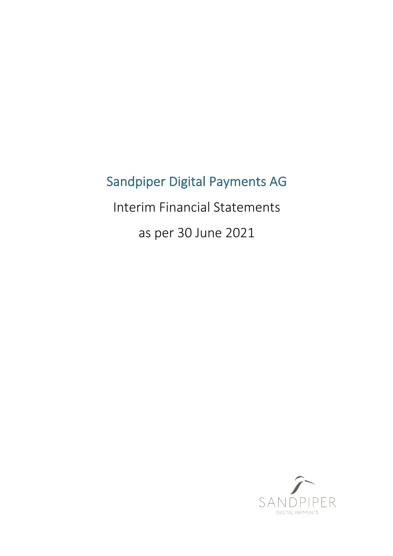# Sandpiper Digital Payments AG

Interim Financial Statements

as per 30 June 2021

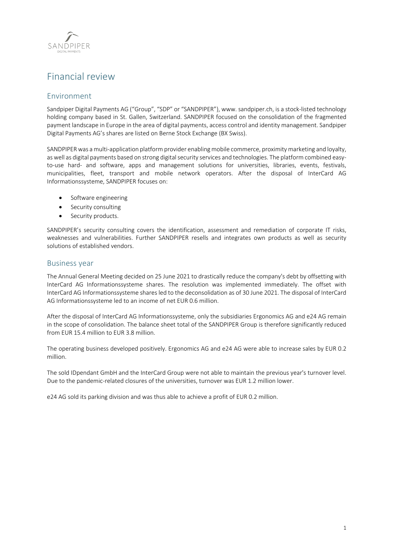

# Financial review

# Environment

Sandpiper Digital Payments AG ("Group", "SDP" or "SANDPIPER"), www. sandpiper.ch, is a stock-listed technology holding company based in St. Gallen, Switzerland. SANDPIPER focused on the consolidation of the fragmented payment landscape in Europe in the area of digital payments, access control and identity management. Sandpiper Digital Payments AG's shares are listed on Berne Stock Exchange (BX Swiss).

SANDPIPER was a multi-application platform provider enabling mobile commerce, proximity marketing and loyalty, as well as digital payments based on strong digital security services and technologies. The platform combined easyto-use hard- and software, apps and management solutions for universities, libraries, events, festivals, municipalities, fleet, transport and mobile network operators. After the disposal of InterCard AG Informationssysteme, SANDPIPER focuses on:

- Software engineering
- Security consulting
- Security products.

SANDPIPER's security consulting covers the identification, assessment and remediation of corporate IT risks, weaknesses and vulnerabilities. Further SANDPIPER resells and integrates own products as well as security solutions of established vendors.

# Business year

The Annual General Meeting decided on 25 June 2021 to drastically reduce the company's debt by offsetting with InterCard AG Informationssysteme shares. The resolution was implemented immediately. The offset with InterCard AG Informationssysteme shares led to the deconsolidation as of 30 June 2021. The disposal of InterCard AG Informationssysteme led to an income of net EUR 0.6 million.

After the disposal of InterCard AG Informationssysteme, only the subsidiaries Ergonomics AG and e24 AG remain in the scope of consolidation. The balance sheet total of the SANDPIPER Group is therefore significantly reduced from EUR 15.4 million to EUR 3.8 million.

The operating business developed positively. Ergonomics AG and e24 AG were able to increase sales by EUR 0.2 million.

The sold IDpendant GmbH and the InterCard Group were not able to maintain the previous year's turnover level. Due to the pandemic-related closures of the universities, turnover was EUR 1.2 million lower.

e24 AG sold its parking division and was thus able to achieve a profit of EUR 0.2 million.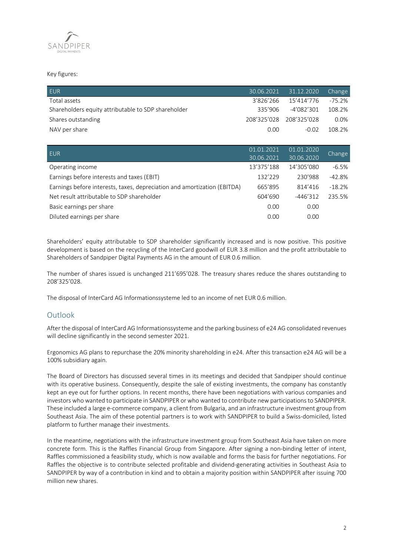

# Key figures:

| <b>EUR</b>                                          |           | 30.06.2021 31.12.2020   | Change  |
|-----------------------------------------------------|-----------|-------------------------|---------|
| Total assets                                        | 3'826'266 | 15'414'776              | -75.2%  |
| Shareholders equity attributable to SDP shareholder | 335'906   | -4'082'301              | 108.2%  |
| Shares outstanding                                  |           | 208'325'028 208'325'028 | $0.0\%$ |
| NAV per share                                       | 0.00      | $-0.02$                 | 108.2%  |

| EUR.                                                                     | 01.01.2021 | 01.01.2020 | Change   |
|--------------------------------------------------------------------------|------------|------------|----------|
|                                                                          | 30.06.2021 | 30.06.2020 |          |
| Operating income                                                         | 13'375'188 | 14'305'080 | $-6.5%$  |
| Earnings before interests and taxes (EBIT)                               | 132'229    | 230'988    | $-42.8%$ |
| Earnings before interests, taxes, depreciation and amortization (EBITDA) | 665'895    | 814'416    | $-18.2%$ |
| Net result attributable to SDP shareholder                               | 604'690    | $-446'312$ | 235.5%   |
| Basic earnings per share                                                 | 0.00       | 0.00       |          |
| Diluted earnings per share                                               | 0.00       | 0.00       |          |

Shareholders' equity attributable to SDP shareholder significantly increased and is now positive. This positive development is based on the recycling of the InterCard goodwill of EUR 3.8 million and the profit attributable to Shareholders of Sandpiper Digital Payments AG in the amount of EUR 0.6 million.

The number of shares issued is unchanged 211'695'028. The treasury shares reduce the shares outstanding to 208'325'028.

The disposal of InterCard AG Informationssysteme led to an income of net EUR 0.6 million.

# Outlook

After the disposal of InterCard AG Informationssysteme and the parking business of e24 AG consolidated revenues will decline significantly in the second semester 2021.

Ergonomics AG plans to repurchase the 20% minority shareholding in e24. After this transaction e24 AG will be a 100% subsidiary again.

The Board of Directors has discussed several times in its meetings and decided that Sandpiper should continue with its operative business. Consequently, despite the sale of existing investments, the company has constantly kept an eye out for further options. In recent months, there have been negotiations with various companies and investors who wanted to participate in SANDPIPER or who wanted to contribute new participations to SANDPIPER. These included a large e-commerce company, a client from Bulgaria, and an infrastructure investment group from Southeast Asia. The aim of these potential partners is to work with SANDPIPER to build a Swiss-domiciled, listed platform to further manage their investments.

In the meantime, negotiations with the infrastructure investment group from Southeast Asia have taken on more concrete form. This is the Raffles Financial Group from Singapore. After signing a non-binding letter of intent, Raffles commissioned a feasibility study, which is now available and forms the basis for further negotiations. For Raffles the objective is to contribute selected profitable and dividend-generating activities in Southeast Asia to SANDPIPER by way of a contribution in kind and to obtain a majority position within SANDPIPER after issuing 700 million new shares.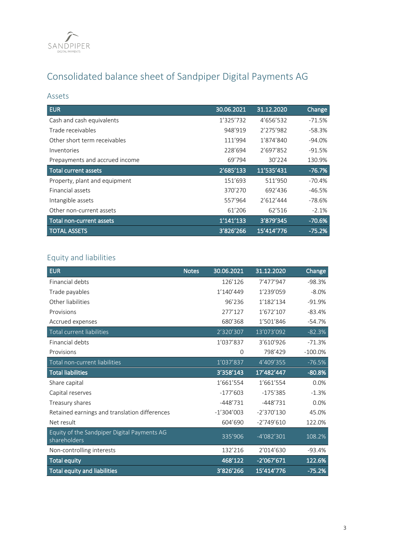

# Consolidated balance sheet of Sandpiper Digital Payments AG

# Assets

| <b>EUR</b>                     | 30.06.2021 | 31.12.2020 | Change    |
|--------------------------------|------------|------------|-----------|
| Cash and cash equivalents      | 1'325'732  | 4'656'532  | $-71.5%$  |
| Trade receivables              | 948'919    | 2'275'982  | -58.3%    |
| Other short term receivables   | 111'994    | 1'874'840  | $-94.0\%$ |
| Inventories                    | 228'694    | 2'697'852  | $-91.5%$  |
| Prepayments and accrued income | 69'794     | 30'224     | 130.9%    |
| <b>Total current assets</b>    | 2'685'133  | 11'535'431 | $-76.7%$  |
| Property, plant and equipment  | 151'693    | 511'950    | -70.4%    |
| Financial assets               | 370'270    | 692'436    | $-46.5%$  |
| Intangible assets              | 557'964    | 2'612'444  | -78.6%    |
| Other non-current assets       | 61'206     | 62'516     | $-2.1%$   |
| Total non-current assets       | 1'141'133  | 3'879'345  | $-70.6%$  |
| <b>TOTAL ASSETS</b>            | 3'826'266  | 15'414'776 | $-75.2%$  |

# Equity and liabilities

| <b>EUR</b>                                                  | <b>Notes</b> | 30.06.2021   | 31.12.2020   | Change     |
|-------------------------------------------------------------|--------------|--------------|--------------|------------|
| Financial debts                                             |              | 126'126      | 7'477'947    | $-98.3%$   |
| Trade payables                                              |              | 1'140'449    | 1'239'059    | $-8.0%$    |
| Other liabilities                                           |              | 96'236       | 1'182'134    | $-91.9%$   |
| Provisions                                                  |              | 277'127      | 1'672'107    | $-83.4%$   |
| Accrued expenses                                            |              | 680'368      | 1'501'846    | $-54.7%$   |
| Total current liabilities                                   |              | 2'320'307    | 13'073'092   | $-82.3%$   |
| Financial debts                                             |              | 1'037'837    | 3'610'926    | $-71.3%$   |
| Provisions                                                  |              | 0            | 798'429      | $-100.0\%$ |
| Total non-current liabilities                               |              | 1'037'837    | 4'409'355    | $-76.5%$   |
| <b>Total liabilities</b>                                    |              | 3'358'143    | 17'482'447   | $-80.8%$   |
| Share capital                                               |              | 1'661'554    | 1'661'554    | 0.0%       |
| Capital reserves                                            |              | $-177'603$   | $-175'385$   | $-1.3%$    |
| Treasury shares                                             |              | $-448'731$   | $-448'731$   | 0.0%       |
| Retained earnings and translation differences               |              | $-1'304'003$ | $-2'370'130$ | 45.0%      |
| Net result                                                  |              | 604'690      | $-2'749'610$ | 122.0%     |
| Equity of the Sandpiper Digital Payments AG<br>shareholders |              | 335'906      | $-4'082'301$ | 108.2%     |
| Non-controlling interests                                   |              | 132'216      | 2'014'630    | $-93.4%$   |
| <b>Total equity</b>                                         |              | 468'122      | $-2'067'671$ | 122.6%     |
| <b>Total equity and liabilities</b>                         |              | 3'826'266    | 15'414'776   | $-75.2%$   |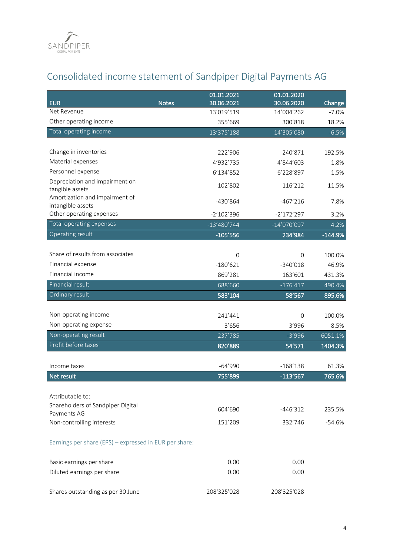

# Consolidated income statement of Sandpiper Digital Payments AG

| <b>EUR</b>                                             | <b>Notes</b> | 01.01.2021<br>30.06.2021 | 01.01.2020<br>30.06.2020 |                   |
|--------------------------------------------------------|--------------|--------------------------|--------------------------|-------------------|
| Net Revenue                                            |              | 13'019'519               | 14'004'262               | Change<br>$-7.0%$ |
| Other operating income                                 |              | 355'669                  | 300'818                  | 18.2%             |
| Total operating income                                 |              | 13'375'188               | 14'305'080               | $-6.5%$           |
|                                                        |              |                          |                          |                   |
| Change in inventories                                  |              | 222'906                  | $-240'871$               | 192.5%            |
| Material expenses                                      |              | -4'932'735               | $-4'844'603$             | $-1.8%$           |
| Personnel expense                                      |              | $-6'134'852$             | $-6'228'897$             | 1.5%              |
| Depreciation and impairment on                         |              | $-102'802$               | $-116'212$               | 11.5%             |
| tangible assets                                        |              |                          |                          |                   |
| Amortization and impairment of<br>intangible assets    |              | $-430'864$               | $-467'216$               | 7.8%              |
| Other operating expenses                               |              | $-2'102'396$             | $-2'172'297$             | 3.2%              |
| Total operating expenses                               |              | $-13'480'744$            | $-14'070'097$            | 4.2%              |
| Operating result                                       |              | $-105'556$               | 234'984                  | $-144.9%$         |
|                                                        |              |                          |                          |                   |
| Share of results from associates                       |              | $\Omega$                 | $\Omega$                 | 100.0%            |
| Financial expense                                      |              | $-180'621$               | $-340'018$               | 46.9%             |
| Financial income                                       |              | 869'281                  | 163'601                  | 431.3%            |
| <b>Financial result</b>                                |              | 688'660                  | $-176'417$               | 490.4%            |
| Ordinary result                                        |              | 583'104                  | 58'567                   | 895.6%            |
|                                                        |              |                          |                          |                   |
| Non-operating income                                   |              | 241'441                  | $\Omega$                 | 100.0%            |
| Non-operating expense                                  |              | $-3'656$                 | $-3'996$                 | 8.5%              |
| Non-operating result                                   |              | 237'785                  | $-3'996$                 | 6051.1%           |
| Profit before taxes                                    |              | 820'889                  | 54'571                   | 1404.3%           |
|                                                        |              |                          |                          |                   |
| Income taxes                                           |              | $-64'990$                | $-168'138$               | 61.3%             |
| Net result                                             |              | 755'899                  | $-113'567$               | 765.6%            |
| Attributable to:                                       |              |                          |                          |                   |
| Shareholders of Sandpiper Digital                      |              |                          |                          |                   |
| Payments AG                                            |              | 604'690                  | -446'312                 | 235.5%            |
| Non-controlling interests                              |              | 151'209                  | 332'746                  | $-54.6%$          |
| Earnings per share (EPS) - expressed in EUR per share: |              |                          |                          |                   |
| Basic earnings per share                               |              | 0.00                     | 0.00                     |                   |
| Diluted earnings per share                             |              | 0.00                     | 0.00                     |                   |
| Shares outstanding as per 30 June                      |              | 208'325'028              | 208'325'028              |                   |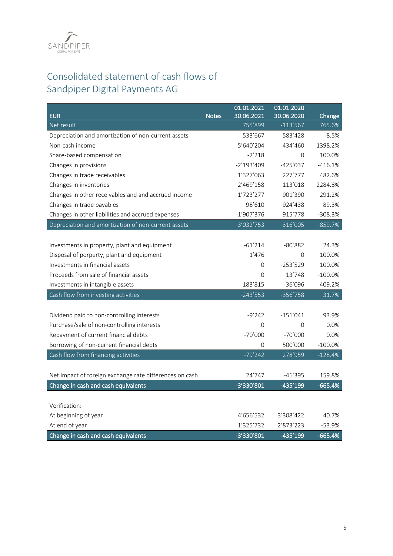

# Consolidated statement of cash flows of Sandpiper Digital Payments AG

| <b>EUR</b>                                              | <b>Notes</b> | 01.01.2021<br>30.06.2021 | 01.01.2020<br>30.06.2020 | Change     |
|---------------------------------------------------------|--------------|--------------------------|--------------------------|------------|
| Net result                                              |              | 755'899                  | $-113'567$               | 765.6%     |
| Depreciation and amortization of non-current assets     |              | 533'667                  | 583'428                  | $-8.5%$    |
| Non-cash income                                         |              | $-5'640'204$             | 434'460                  | $-1398.2%$ |
| Share-based compensation                                |              | $-2'218$                 | 0                        | 100.0%     |
| Changes in provisions                                   |              | $-2'193'409$             | $-425'037$               | $-416.1%$  |
| Changes in trade receivables                            |              | 1'327'063                | 227'777                  | 482.6%     |
| Changes in inventories                                  |              | 2'469'158                | $-113'018$               | 2284.8%    |
| Changes in other receivables and and accrued income     |              | 1'723'277                | $-901'390$               | 291.2%     |
| Changes in trade payables                               |              | $-98'610$                | $-924'438$               | 89.3%      |
| Changes in other liabilities and accrued expenses       |              | $-1'907'376$             | 915'778                  | $-308.3%$  |
| Depreciation and amortization of non-current assets     |              | $-3'032'753$             | $-316'005$               | $-859.7%$  |
|                                                         |              |                          |                          |            |
| Investments in property, plant and equipment            |              | $-61'214$                | $-80'882$                | 24.3%      |
| Disposal of porperty, plant and equipment               |              | 1'476                    | 0                        | 100.0%     |
| Investments in financial assets                         |              | $\Omega$                 | $-253'529$               | 100.0%     |
| Proceeds from sale of financial assets                  |              | 0                        | 13'748                   | $-100.0\%$ |
| Investments in intangible assets                        |              | $-183'815$               | $-36'096$                | $-409.2%$  |
| Cash flow from investing activities                     |              | $-243'553$               | $-356'758$               | 31.7%      |
|                                                         |              |                          |                          |            |
| Dividend paid to non-controlling interests              |              | $-9'242$                 | $-151'041$               | 93.9%      |
| Purchase/sale of non-controlling interests              |              | 0                        | 0                        | 0.0%       |
| Repayment of current financial debts                    |              | $-70'000$                | $-70'000$                | 0.0%       |
| Borrowing of non-current financial debts                |              | 0                        | 500'000                  | $-100.0%$  |
| Cash flow from financing activities                     |              | $-79'242$                | 278'959                  | $-128.4%$  |
|                                                         |              |                          |                          |            |
| Net impact of foreign exchange rate differences on cash |              | 24'747                   | $-41'395$                | 159.8%     |
| Change in cash and cash equivalents                     |              | -3'330'801               | $-435'199$               | $-665.4%$  |
|                                                         |              |                          |                          |            |
| Verification:                                           |              |                          |                          |            |
| At beginning of year                                    |              | 4'656'532                | 3'308'422                | 40.7%      |
| At end of year                                          |              | 1'325'732                | 2'873'223                | $-53.9%$   |
| Change in cash and cash equivalents                     |              | -3'330'801               | -435'199                 | $-665.4%$  |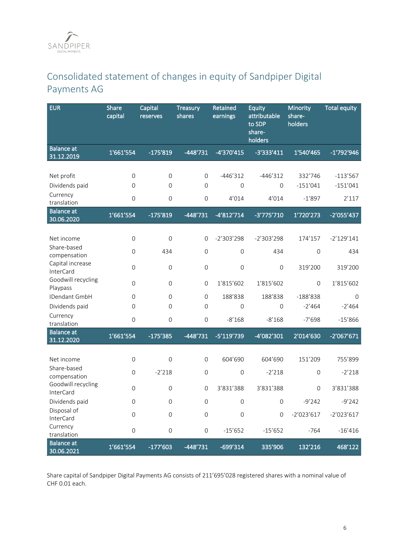# Consolidated statement of changes in equity of Sandpiper Digital Payments AG

| <b>EUR</b>                       | <b>Share</b><br>capital | Capital<br>reserves | <b>Treasury</b><br>shares | Retained<br>earnings | <b>Equity</b><br>attributable<br>to SDP<br>share-<br>holders | Minority<br>share-<br>holders | <b>Total equity</b> |
|----------------------------------|-------------------------|---------------------|---------------------------|----------------------|--------------------------------------------------------------|-------------------------------|---------------------|
| <b>Balance</b> at<br>31.12.2019  | 1'661'554               | $-175'819$          | $-448'731$                | -4'370'415           | $-3'333'411$                                                 | 1'540'465                     | $-1'792'946$        |
|                                  |                         |                     |                           |                      |                                                              |                               |                     |
| Net profit                       | $\overline{0}$          | $\mathbf 0$         | $\mathsf{O}\xspace$       | $-446'312$           | $-446'312$                                                   | 332'746                       | $-113'567$          |
| Dividends paid                   | $\overline{0}$          | $\mathbf 0$         | $\mathsf{O}\xspace$       | $\mathbf 0$          | $\mathsf{O}\xspace$                                          | $-151'041$                    | $-151'041$          |
| Currency<br>translation          | $\mathsf O$             | $\mathbf 0$         | $\mathsf{O}\xspace$       | 4'014                | 4'014                                                        | $-1'897$                      | 2'117               |
| <b>Balance</b> at<br>30.06.2020  | 1'661'554               | $-175'819$          | $-448'731$                | $-4'812'714$         | $-3'775'710$                                                 | 1'720'273                     | $-2'055'437$        |
|                                  |                         |                     |                           |                      |                                                              |                               |                     |
| Net income<br>Share-based        | $\mathsf{O}$            | $\mathbf 0$         | $\mathbf{O}$              | $-2'303'298$         | $-2'303'298$                                                 | 174'157                       | $-2'129'141$        |
| compensation                     | $\overline{0}$          | 434                 | $\mathbf 0$               | $\mathbf 0$          | 434                                                          | $\mathbf 0$                   | 434                 |
| Capital increase                 | $\mathsf{O}$            | $\mathbf 0$         | $\mathsf{O}\xspace$       | $\mathbf 0$          | $\mathbf 0$                                                  | 319'200                       | 319'200             |
| InterCard<br>Goodwill recycling  |                         |                     |                           |                      |                                                              |                               |                     |
| Playpass                         | $\mathsf{O}\xspace$     | $\mathsf{O}\xspace$ | $\mathsf{O}\xspace$       | 1'815'602            | 1'815'602                                                    | $\mathsf{O}\xspace$           | 1'815'602           |
| IDendant GmbH                    | $\overline{0}$          | $\Omega$            | $\mathbf 0$               | 188'838              | 188'838                                                      | $-188'838$                    | $\Omega$            |
| Dividends paid                   | 0                       | $\overline{0}$      | $\overline{0}$            | 0                    | $\Omega$                                                     | $-2'464$                      | $-2'464$            |
| Currency<br>translation          | $\mathbf 0$             | $\overline{0}$      | $\mathsf{O}\xspace$       | $-8'168$             | $-8'168$                                                     | $-7'698$                      | $-15'866$           |
| <b>Balance</b> at<br>31.12.2020  | 1'661'554               | $-175'385$          | $-448'731$                | -5'119'739           | -4'082'301                                                   | 2'014'630                     | $-2'067'671$        |
|                                  |                         |                     |                           |                      |                                                              |                               |                     |
| Net income<br>Share-based        | $\mathsf{O}$            | $\mathbf 0$         | $\mathbf 0$               | 604'690              | 604'690                                                      | 151'209                       | 755'899             |
| compensation                     | 0                       | $-2'218$            | $\mathsf{O}\xspace$       | $\mathbf 0$          | $-2'218$                                                     | $\mathbf 0$                   | $-2'218$            |
| Goodwill recycling<br>InterCard  | 0                       | $\mathbf 0$         | $\mathbf 0$               | 3'831'388            | 3'831'388                                                    | $\mathsf{O}\xspace$           | 3'831'388           |
| Dividends paid                   | 0                       | 0                   | 0                         | 0                    | 0                                                            | $-9'242$                      | $-9'242$            |
| Disposal of<br>InterCard         | $\mathsf{O}$            | $\mathsf{O}\xspace$ | $\mathsf{O}\xspace$       | $\mathbf 0$          | $\mathsf{O}\xspace$                                          | $-2'023'617$                  | $-2'023'617$        |
| Currency                         | $\mathsf{O}\xspace$     | $\mathsf{O}\xspace$ | $\mathsf{O}\xspace$       | $-15'652$            | $-15'652$                                                    | $-764$                        | $-16'416$           |
| translation<br><b>Balance at</b> |                         |                     |                           |                      |                                                              |                               |                     |
| 30.06.2021                       | 1'661'554               | $-177'603$          | $-448'731$                | -699'314             | 335'906                                                      | 132'216                       | 468'122             |

Share capital of Sandpiper Digital Payments AG consists of 211'695'028 registered shares with a nominal value of CHF 0.01 each.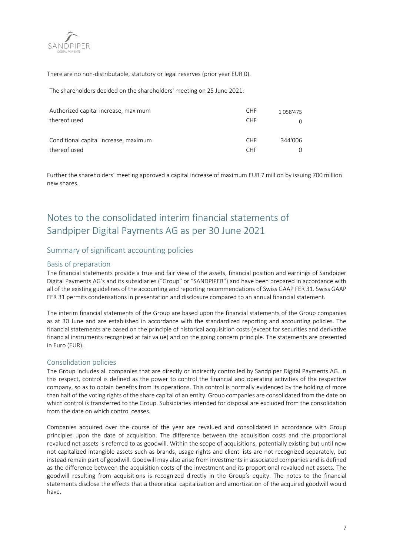

There are no non-distributable, statutory or legal reserves (prior year EUR 0).

The shareholders decided on the shareholders' meeting on 25 June 2021:

| Authorized capital increase, maximum  | <b>CHF</b> | 1'058'475 |
|---------------------------------------|------------|-----------|
| thereof used                          | <b>CHF</b> |           |
| Conditional capital increase, maximum | <b>CHF</b> | 344'006   |
| thereof used                          | <b>CHE</b> |           |

Further the shareholders' meeting approved a capital increase of maximum EUR 7 million by issuing 700 million new shares.

# Notes to the consolidated interim financial statements of Sandpiper Digital Payments AG as per 30 June 2021

# Summary of significant accounting policies

# Basis of preparation

The financial statements provide a true and fair view of the assets, financial position and earnings of Sandpiper Digital Payments AG's and its subsidiaries ("Group" or "SANDPIPER") and have been prepared in accordance with all of the existing guidelines of the accounting and reporting recommendations of Swiss GAAP FER 31. Swiss GAAP FER 31 permits condensations in presentation and disclosure compared to an annual financial statement.

The interim financial statements of the Group are based upon the financial statements of the Group companies as at 30 June and are established in accordance with the standardized reporting and accounting policies. The financial statements are based on the principle of historical acquisition costs (except for securities and derivative financial instruments recognized at fair value) and on the going concern principle. The statements are presented in Euro (EUR).

# Consolidation policies

The Group includes all companies that are directly or indirectly controlled by Sandpiper Digital Payments AG. In this respect, control is defined as the power to control the financial and operating activities of the respective company, so as to obtain benefits from its operations. This control is normally evidenced by the holding of more than half of the voting rights of the share capital of an entity. Group companies are consolidated from the date on which control is transferred to the Group. Subsidiaries intended for disposal are excluded from the consolidation from the date on which control ceases.

Companies acquired over the course of the year are revalued and consolidated in accordance with Group principles upon the date of acquisition. The difference between the acquisition costs and the proportional revalued net assets is referred to as goodwill. Within the scope of acquisitions, potentially existing but until now not capitalized intangible assets such as brands, usage rights and client lists are not recognized separately, but instead remain part of goodwill. Goodwill may also arise from investments in associated companies and is defined as the difference between the acquisition costs of the investment and its proportional revalued net assets. The goodwill resulting from acquisitions is recognized directly in the Group's equity. The notes to the financial statements disclose the effects that a theoretical capitalization and amortization of the acquired goodwill would have.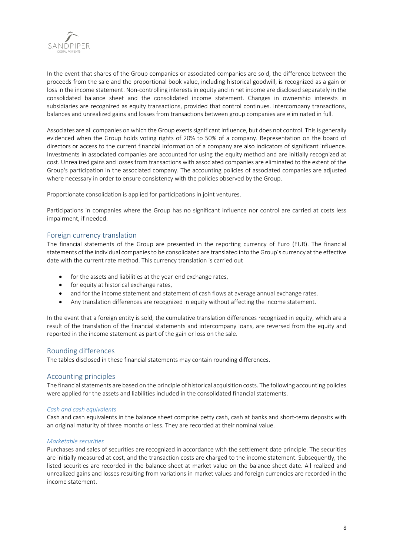

In the event that shares of the Group companies or associated companies are sold, the difference between the proceeds from the sale and the proportional book value, including historical goodwill, is recognized as a gain or loss in the income statement. Non-controlling interests in equity and in net income are disclosed separately in the consolidated balance sheet and the consolidated income statement. Changes in ownership interests in subsidiaries are recognized as equity transactions, provided that control continues. Intercompany transactions, balances and unrealized gains and losses from transactions between group companies are eliminated in full.

Associates are all companies on which the Group exerts significant influence, but does not control. This is generally evidenced when the Group holds voting rights of 20% to 50% of a company. Representation on the board of directors or access to the current financial information of a company are also indicators of significant influence. Investments in associated companies are accounted for using the equity method and are initially recognized at cost. Unrealized gains and losses from transactions with associated companies are eliminated to the extent of the Group's participation in the associated company. The accounting policies of associated companies are adjusted where necessary in order to ensure consistency with the policies observed by the Group.

Proportionate consolidation is applied for participations in joint ventures.

Participations in companies where the Group has no significant influence nor control are carried at costs less impairment, if needed.

# Foreign currency translation

The financial statements of the Group are presented in the reporting currency of Euro (EUR). The financial statements of the individual companies to be consolidated are translated into the Group's currency at the effective date with the current rate method. This currency translation is carried out

- for the assets and liabilities at the year-end exchange rates,
- for equity at historical exchange rates,
- and for the income statement and statement of cash flows at average annual exchange rates.
- Any translation differences are recognized in equity without affecting the income statement.

In the event that a foreign entity is sold, the cumulative translation differences recognized in equity, which are a result of the translation of the financial statements and intercompany loans, are reversed from the equity and reported in the income statement as part of the gain or loss on the sale.

## Rounding differences

The tables disclosed in these financial statements may contain rounding differences.

## Accounting principles

The financial statements are based on the principle of historical acquisition costs. The following accounting policies were applied for the assets and liabilities included in the consolidated financial statements.

#### *Cash and cash equivalents*

Cash and cash equivalents in the balance sheet comprise petty cash, cash at banks and short-term deposits with an original maturity of three months or less. They are recorded at their nominal value.

#### *Marketable securities*

Purchases and sales of securities are recognized in accordance with the settlement date principle. The securities are initially measured at cost, and the transaction costs are charged to the income statement. Subsequently, the listed securities are recorded in the balance sheet at market value on the balance sheet date. All realized and unrealized gains and losses resulting from variations in market values and foreign currencies are recorded in the income statement.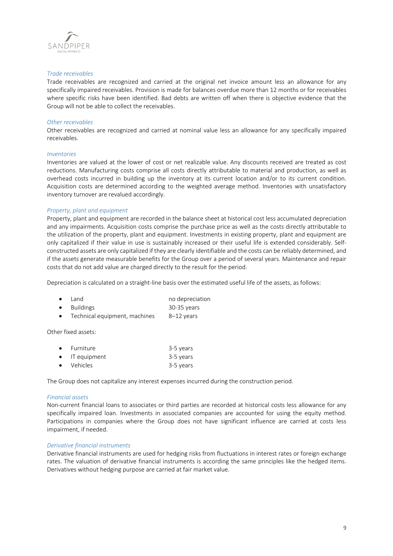

#### *Trade receivables*

Trade receivables are recognized and carried at the original net invoice amount less an allowance for any specifically impaired receivables. Provision is made for balances overdue more than 12 months or for receivables where specific risks have been identified. Bad debts are written off when there is objective evidence that the Group will not be able to collect the receivables.

## *Other receivables*

Other receivables are recognized and carried at nominal value less an allowance for any specifically impaired receivables.

#### *Inventories*

Inventories are valued at the lower of cost or net realizable value. Any discounts received are treated as cost reductions. Manufacturing costs comprise all costs directly attributable to material and production, as well as overhead costs incurred in building up the inventory at its current location and/or to its current condition. Acquisition costs are determined according to the weighted average method. Inventories with unsatisfactory inventory turnover are revalued accordingly.

#### *Property, plant and equipment*

Property, plant and equipment are recorded in the balance sheet at historical cost less accumulated depreciation and any impairments. Acquisition costs comprise the purchase price as well as the costs directly attributable to the utilization of the property, plant and equipment. Investments in existing property, plant and equipment are only capitalized if their value in use is sustainably increased or their useful life is extended considerably. Selfconstructed assets are only capitalized if they are clearly identifiable and the costs can be reliably determined, and if the assets generate measurable benefits for the Group over a period of several years. Maintenance and repair costs that do not add value are charged directly to the result for the period.

Depreciation is calculated on a straight-line basis over the estimated useful life of the assets, as follows:

|           | $\bullet$ Land                | no depreciation |
|-----------|-------------------------------|-----------------|
|           | • Buildings                   | 30-35 vears     |
| $\bullet$ | Technical equipment, machines | 8–12 years      |

Other fixed assets:

| $\bullet$ Furniture    | 3-5 years |
|------------------------|-----------|
| $\bullet$ IT equipment | 3-5 years |
| • Vehicles             | 3-5 years |

The Group does not capitalize any interest expenses incurred during the construction period.

#### *Financial assets*

Non-current financial loans to associates or third parties are recorded at historical costs less allowance for any specifically impaired loan. Investments in associated companies are accounted for using the equity method. Participations in companies where the Group does not have significant influence are carried at costs less impairment, if needed.

#### *Derivative financial instruments*

Derivative financial instruments are used for hedging risks from fluctuations in interest rates or foreign exchange rates. The valuation of derivative financial instruments is according the same principles like the hedged items. Derivatives without hedging purpose are carried at fair market value.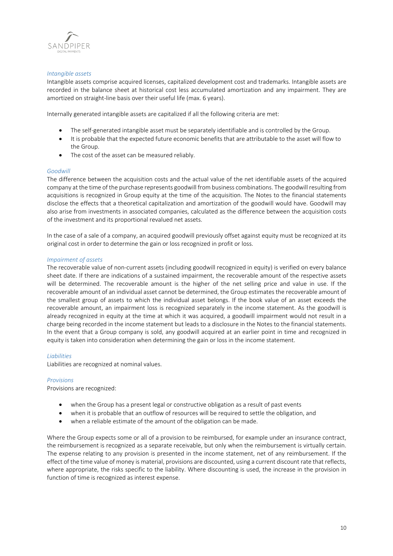

## *Intangible assets*

Intangible assets comprise acquired licenses, capitalized development cost and trademarks. Intangible assets are recorded in the balance sheet at historical cost less accumulated amortization and any impairment. They are amortized on straight-line basis over their useful life (max. 6 years).

Internally generated intangible assets are capitalized if all the following criteria are met:

- The self-generated intangible asset must be separately identifiable and is controlled by the Group.
- It is probable that the expected future economic benefits that are attributable to the asset will flow to the Group.
- The cost of the asset can be measured reliably.

#### *Goodwill*

The difference between the acquisition costs and the actual value of the net identifiable assets of the acquired company at the time of the purchase represents goodwill from business combinations. The goodwill resulting from acquisitions is recognized in Group equity at the time of the acquisition. The Notes to the financial statements disclose the effects that a theoretical capitalization and amortization of the goodwill would have. Goodwill may also arise from investments in associated companies, calculated as the difference between the acquisition costs of the investment and its proportional revalued net assets.

In the case of a sale of a company, an acquired goodwill previously offset against equity must be recognized at its original cost in order to determine the gain or loss recognized in profit or loss.

#### *Impairment of assets*

The recoverable value of non-current assets (including goodwill recognized in equity) is verified on every balance sheet date. If there are indications of a sustained impairment, the recoverable amount of the respective assets will be determined. The recoverable amount is the higher of the net selling price and value in use. If the recoverable amount of an individual asset cannot be determined, the Group estimates the recoverable amount of the smallest group of assets to which the individual asset belongs. If the book value of an asset exceeds the recoverable amount, an impairment loss is recognized separately in the income statement. As the goodwill is already recognized in equity at the time at which it was acquired, a goodwill impairment would not result in a charge being recorded in the income statement but leads to a disclosure in the Notes to the financial statements. In the event that a Group company is sold, any goodwill acquired at an earlier point in time and recognized in equity is taken into consideration when determining the gain or loss in the income statement.

#### *Liabilities*

Liabilities are recognized at nominal values.

#### *Provisions*

Provisions are recognized:

- when the Group has a present legal or constructive obligation as a result of past events
- when it is probable that an outflow of resources will be required to settle the obligation, and
- when a reliable estimate of the amount of the obligation can be made.

Where the Group expects some or all of a provision to be reimbursed, for example under an insurance contract, the reimbursement is recognized as a separate receivable, but only when the reimbursement is virtually certain. The expense relating to any provision is presented in the income statement, net of any reimbursement. If the effect of the time value of money is material, provisions are discounted, using a current discount rate that reflects, where appropriate, the risks specific to the liability. Where discounting is used, the increase in the provision in function of time is recognized as interest expense.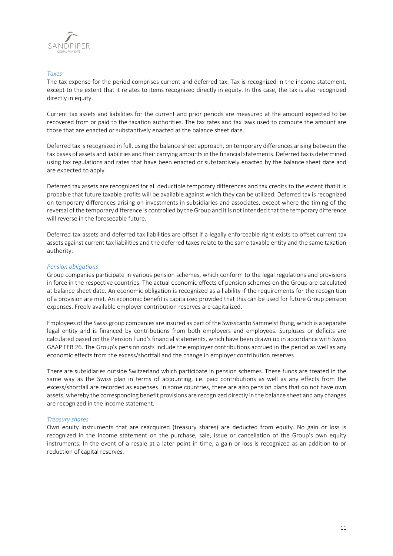

## *Taxes*

The tax expense for the period comprises current and deferred tax. Tax is recognized in the income statement, except to the extent that it relates to items recognized directly in equity. In this case, the tax is also recognized directly in equity.

Current tax assets and liabilities for the current and prior periods are measured at the amount expected to be recovered from or paid to the taxation authorities. The tax rates and tax laws used to compute the amount are those that are enacted or substantively enacted at the balance sheet date.

Deferred tax is recognized in full, using the balance sheet approach, on temporary differences arising between the tax bases of assets and liabilities and their carrying amounts in the financial statements. Deferred tax is determined using tax regulations and rates that have been enacted or substantively enacted by the balance sheet date and are expected to apply.

Deferred tax assets are recognized for all deductible temporary differences and tax credits to the extent that it is probable that future taxable profits will be available against which they can be utilized. Deferred tax is recognized on temporary differences arising on investments in subsidiaries and associates, except where the timing of the reversal of the temporary difference is controlled by the Group and it is not intended that the temporary difference will reverse in the foreseeable future.

Deferred tax assets and deferred tax liabilities are offset if a legally enforceable right exists to offset current tax assets against current tax liabilities and the deferred taxes relate to the same taxable entity and the same taxation authority.

## *Pension obligations*

Group companies participate in various pension schemes, which conform to the legal regulations and provisions in force in the respective countries. The actual economic effects of pension schemes on the Group are calculated at balance sheet date. An economic obligation is recognized as a liability if the requirements for the recognition of a provision are met. An economic benefit is capitalized provided that this can be used for future Group pension expenses. Freely available employer contribution reserves are capitalized.

Employees of the Swiss group companies are insured as part of the Swisscanto Sammelstiftung, which is a separate legal entity and is financed by contributions from both employers and employees. Surpluses or deficits are calculated based on the Pension Fund's financial statements, which have been drawn up in accordance with Swiss GAAP FER 26. The Group's pension costs include the employer contributions accrued in the period as well as any economic effects from the excess/shortfall and the change in employer contribution reserves.

There are subsidiaries outside Switzerland which participate in pension schemes. These funds are treated in the same way as the Swiss plan in terms of accounting, i.e. paid contributions as well as any effects from the excess/shortfall are recorded as expenses. In some countries, there are also pension plans that do not have own assets, whereby the corresponding benefit provisions are recognized directly in the balance sheet and any changes are recognized in the income statement.

## *Treasury shares*

Own equity instruments that are reacquired (treasury shares) are deducted from equity. No gain or loss is recognized in the income statement on the purchase, sale, issue or cancellation of the Group's own equity instruments. In the event of a resale at a later point in time, a gain or loss is recognized as an addition to or reduction of capital reserves.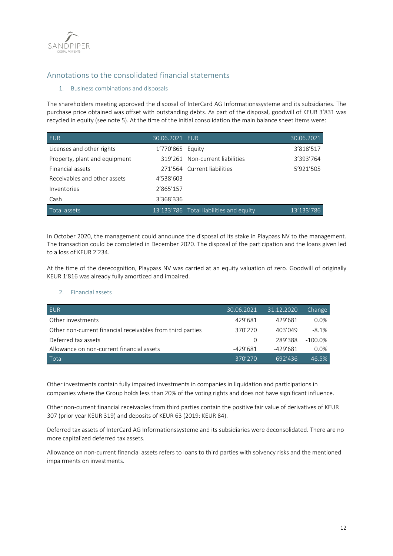

# Annotations to the consolidated financial statements

## 1. Business combinations and disposals

The shareholders meeting approved the disposal of InterCard AG Informationssysteme and its subsidiaries. The purchase price obtained was offset with outstanding debts. As part of the disposal, goodwill of KEUR 3'831 was recycled in equity (see note 5). At the time of the initial consolidation the main balance sheet items were:

| <b>EUR</b>                    | 30.06.2021 EUR      |                                         | 30.06.2021 |
|-------------------------------|---------------------|-----------------------------------------|------------|
| Licenses and other rights     | 1'770'865    Equity |                                         | 3'818'517  |
| Property, plant and equipment |                     | 319'261 Non-current liabilities         | 3'393'764  |
| Financial assets              |                     | 271'564 Current liabilities             | 5'921'505  |
| Receivables and other assets  | 4'538'603           |                                         |            |
| Inventories                   | 2'865'157           |                                         |            |
| Cash                          | 3'368'336           |                                         |            |
| Total assets                  |                     | 13'133'786 Total liabilities and equity | 13'133'786 |

In October 2020, the management could announce the disposal of its stake in Playpass NV to the management. The transaction could be completed in December 2020. The disposal of the participation and the loans given led to a loss of KEUR 2'234.

At the time of the derecognition, Playpass NV was carried at an equity valuation of zero. Goodwill of originally KEUR 1'816 was already fully amortized and impaired.

## 2. Financial assets

| <b>EUR</b>                                                 | 30.06.2021 | 31.12.2020 | Change     |
|------------------------------------------------------------|------------|------------|------------|
| Other investments                                          | 429'681    | 429'681    | $0.0\%$    |
| Other non-current financial receivables from third parties | 370'270    | 403'049    | $-8.1%$    |
| Deferred tax assets                                        |            | 289'388    | $-100.0\%$ |
| Allowance on non-current financial assets                  | $-429'681$ | $-429'681$ | $0.0\%$    |
| Total                                                      | 370'270    | 692'436    | $-46.5%$   |

Other investments contain fully impaired investments in companies in liquidation and participations in companies where the Group holds less than 20% of the voting rights and does not have significant influence.

Other non-current financial receivables from third parties contain the positive fair value of derivatives of KEUR 307 (prior year KEUR 319) and deposits of KEUR 63 (2019: KEUR 84).

Deferred tax assets of InterCard AG Informationssysteme and its subsidiaries were deconsolidated. There are no more capitalized deferred tax assets.

Allowance on non-current financial assets refers to loans to third parties with solvency risks and the mentioned impairments on investments.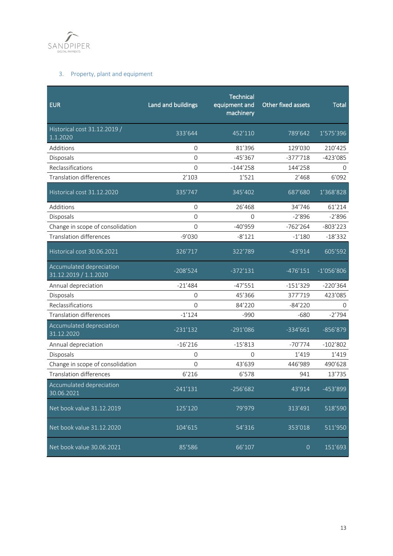

# 3. Property, plant and equipment

| <b>EUR</b>                                        | Land and buildings | <b>Technical</b><br>equipment and<br>machinery | Other fixed assets | <b>Total</b> |
|---------------------------------------------------|--------------------|------------------------------------------------|--------------------|--------------|
| Historical cost 31.12.2019 /<br>1.1.2020          | 333'644            | 452'110                                        | 789'642            | 1'575'396    |
| Additions                                         | $\Omega$           | 81'396                                         | 129'030            | 210'425      |
| Disposals                                         | $\Omega$           | $-45'367$                                      | $-377'718$         | $-423'085$   |
| Reclassifications                                 | $\Omega$           | $-144'258$                                     | 144'258            | 0            |
| <b>Translation differences</b>                    | 2'103              | 1'521                                          | 2'468              | 6'092        |
| Historical cost 31.12.2020                        | 335'747            | 345'402                                        | 687'680            | 1'368'828    |
| Additions                                         | $\overline{0}$     | 26'468                                         | 34'746             | 61'214       |
| Disposals                                         | $\Omega$           | $\Omega$                                       | $-2'896$           | $-2'896$     |
| Change in scope of consolidation                  | $\Omega$           | $-40'959$                                      | $-762'264$         | $-803'223$   |
| <b>Translation differences</b>                    | $-9'030$           | $-8'121$                                       | $-1'180$           | $-18'332$    |
| Historical cost 30.06.2021                        | 326'717            | 322'789                                        | $-43'914$          | 605'592      |
| Accumulated depreciation<br>31.12.2019 / 1.1.2020 | $-208'524$         | $-372'131$                                     | $-476'151$         | $-1'056'806$ |
| Annual depreciation                               | $-21'484$          | $-47'551$                                      | $-151'329$         | $-220'364$   |
| Disposals                                         | $\Omega$           | 45'366                                         | 377'719            | 423'085      |
| Reclassifications                                 | $\Omega$           | 84'220                                         | $-84'220$          | 0            |
| <b>Translation differences</b>                    | $-1'124$           | $-990$                                         | $-680$             | $-2'794$     |
| Accumulated depreciation<br>31.12.2020            | $-231'132$         | $-291'086$                                     | $-334'661$         | -856'879     |
| Annual depreciation                               | $-16'216$          | $-15'813$                                      | $-70'774$          | $-102'802$   |
| Disposals                                         | $\mathbf{O}$       | $\Omega$                                       | 1'419              | 1'419        |
| Change in scope of consolidation                  | $\Omega$           | 43'639                                         | 446'989            | 490'628      |
| <b>Translation differences</b>                    | 6'216              | 6'578                                          | 941                | 13'735       |
| Accumulated depreciation<br>30.06.2021            | $-241'131$         | $-256'682$                                     | 43'914             | -453'899     |
| Net book value 31.12.2019                         | 125'120            | 79'979                                         | 313'491            | 518'590      |
| Net book value 31.12.2020                         | 104'615            | 54'316                                         | 353'018            | 511'950      |
| Net book value 30.06.2021                         | 85'586             | 66'107                                         | $\overline{0}$     | 151'693      |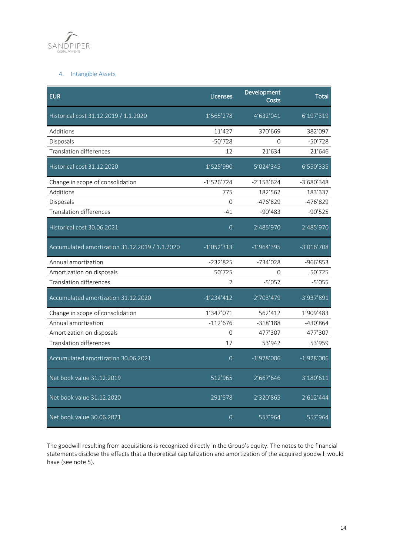

# 4. Intangible Assets

| <b>EUR</b>                                     | Licenses       | Development<br>Costs | <b>Total</b> |
|------------------------------------------------|----------------|----------------------|--------------|
| Historical cost 31.12.2019 / 1.1.2020          | 1'565'278      | 4'632'041            | 6'197'319    |
| Additions                                      | 11'427         | 370'669              | 382'097      |
| Disposals                                      | $-50'728$      | $\Omega$             | $-50'728$    |
| <b>Translation differences</b>                 | 12             | 21'634               | 21'646       |
| Historical cost 31.12.2020                     | 1'525'990      | 5'024'345            | 6'550'335    |
| Change in scope of consolidation               | $-1'526'724$   | $-2'153'624$         | $-3'680'348$ |
| Additions                                      | 775            | 182'562              | 183'337      |
| Disposals                                      | 0              | -476'829             | $-476'829$   |
| <b>Translation differences</b>                 | $-41$          | $-90'483$            | $-90'525$    |
| Historical cost 30.06.2021                     | $\Omega$       | 2'485'970            | 2'485'970    |
| Accumulated amortization 31.12.2019 / 1.1.2020 | $-1'052'313$   | $-1'964'395$         | $-3'016'708$ |
| Annual amortization                            | -232'825       | -734'028             | -966'853     |
| Amortization on disposals                      | 50'725         | $\Omega$             | 50'725       |
| <b>Translation differences</b>                 | $\overline{2}$ | $-5'057$             | $-5'055$     |
| Accumulated amortization 31.12.2020            | $-1'234'412$   | $-2'703'479$         | -3'937'891   |
| Change in scope of consolidation               | 1'347'071      | 562'412              | 1'909'483    |
| Annual amortization                            | $-112'676$     | $-318'188$           | -430'864     |
| Amortization on disposals                      | 0              | 477'307              | 477'307      |
| <b>Translation differences</b>                 | 17             | 53'942               | 53'959       |
| Accumulated amortization 30.06.2021            | $\overline{0}$ | $-1'928'006$         | $-1'928'006$ |
| Net book value 31.12.2019                      | 512'965        | 2'667'646            | 3'180'611    |
| Net book value 31.12.2020                      | 291'578        | 2'320'865            | 2'612'444    |
| Net book value 30.06.2021                      | $\Omega$       | 557'964              | 557'964      |

The goodwill resulting from acquisitions is recognized directly in the Group's equity. The notes to the financial statements disclose the effects that a theoretical capitalization and amortization of the acquired goodwill would have (see note 5).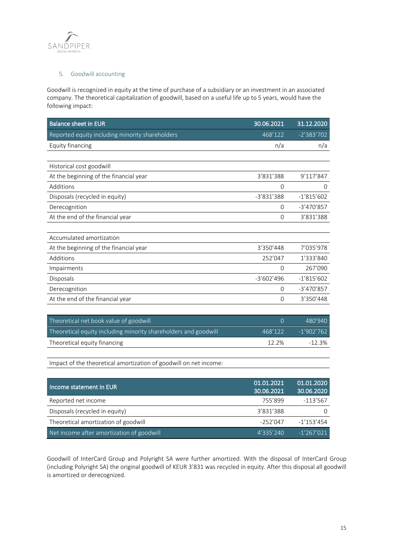

## 5. Goodwill accounting

Goodwill is recognized in equity at the time of purchase of a subsidiary or an investment in an associated company. The theoretical capitalization of goodwill, based on a useful life up to 5 years, would have the following impact:

| <b>Balance sheet in EUR</b>                     | 30.06.2021   | 31.12.2020   |
|-------------------------------------------------|--------------|--------------|
| Reported equity including minority shareholders | 468'122      | $-2'383'702$ |
| Equity financing                                | n/a          | n/a          |
|                                                 |              |              |
| Historical cost goodwill                        |              |              |
| At the beginning of the financial year          | 3'831'388    | 9'117'847    |
| Additions                                       | 0            | 0            |
| Disposals (recycled in equity)                  | $-3'831'388$ | $-1'815'602$ |
| Derecognition                                   | 0            | $-3'470'857$ |
| At the end of the financial year                | 0            | 3'831'388    |
|                                                 |              |              |
| Accumulated amortization                        |              |              |
| At the beginning of the financial year          | 3'350'448    | 7'035'978    |
| Additions                                       | 252'047      | 1'333'840    |
| Impairments                                     | 0            | 267'090      |
| <b>Disposals</b>                                | $-3'602'496$ | $-1'815'602$ |
| Derecognition                                   | 0            | $-3'470'857$ |
| At the end of the financial year                | 0            | 3'350'448    |
|                                                 |              |              |

| Theoretical net book value of goodwill                          | $\cap$   | 480'940    |
|-----------------------------------------------------------------|----------|------------|
| Theoretical equity including minority shareholders and goodwill | 468'122  | -1'902'762 |
| Theoretical equity financing                                    | $12.2\%$ | $-12.3\%$  |

Impact of the theoretical amortization of goodwill on net income:

| Income statement in EUR                   | 01.01.2021<br>30.06.2021 | 01.01.2020<br>30.06.2020 |
|-------------------------------------------|--------------------------|--------------------------|
| Reported net income                       | 755'899                  | $-113'567$               |
| Disposals (recycled in equity)            | 3'831'388                |                          |
| Theoretical amortization of goodwill      | $-252'047$               | $-1'153'454$             |
| Net income after amortization of goodwill | 4'335'240                | $-1'267'021$             |

Goodwill of InterCard Group and Polyright SA were further amortized. With the disposal of InterCard Group (including Polyright SA) the original goodwill of KEUR 3'831 was recycled in equity. After this disposal all goodwill is amortized or derecognized.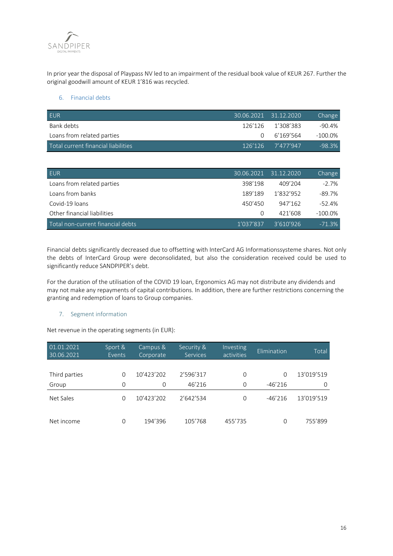

In prior year the disposal of Playpass NV led to an impairment of the residual book value of KEUR 267. Further the original goodwill amount of KEUR 1'816 was recycled.

### 6. Financial debts

| <b>EUR</b>                          |        | $130.06.2021 - 31.12.2020$ | Change     |
|-------------------------------------|--------|----------------------------|------------|
| Bank debts                          |        | 126'126 1'308'383          | $-90.4\%$  |
| Loans from related parties          | $\cap$ | 6'169'564                  | $-100.0\%$ |
| Total current financial liabilities |        | 126'126 7'477'947          | $-98.3\%$  |

| <b>EUR</b>                        |           | $130.06.2021$ 31.12.2020 | Change     |
|-----------------------------------|-----------|--------------------------|------------|
| Loans from related parties        | 398'198   | 409'204                  | $-2.7%$    |
| Loans from banks                  | 189'189   | 1'832'952                | $-89.7%$   |
| Covid-19 loans                    | 450'450   | 947'162                  | $-52.4%$   |
| Other financial liabilities       | $\Omega$  | 421'608                  | $-100.0\%$ |
| Total non-current financial debts | 1'037'837 | 3'610'926                | $-71.3%$   |

Financial debts significantly decreased due to offsetting with InterCard AG Informationssysteme shares. Not only the debts of InterCard Group were deconsolidated, but also the consideration received could be used to significantly reduce SANDPIPER's debt.

For the duration of the utilisation of the COVID 19 loan, Ergonomics AG may not distribute any dividends and may not make any repayments of capital contributions. In addition, there are further restrictions concerning the granting and redemption of loans to Group companies.

# 7. Segment information

Net revenue in the operating segments (in EUR):

| 01.01.2021<br>30.06.2021 | Sport &<br>Events | Campus &<br>Corporate | Security &<br><b>Services</b> | <b>Investing</b><br>activities | Elimination | Total      |
|--------------------------|-------------------|-----------------------|-------------------------------|--------------------------------|-------------|------------|
|                          |                   |                       |                               |                                |             |            |
| Third parties            | $\Omega$          | 10'423'202            | 2'596'317                     | 0                              | $\Omega$    | 13'019'519 |
| Group                    | $\Omega$          | $\Omega$              | 46'216                        | $\Omega$                       | $-46'216$   | O          |
| Net Sales                | $\Omega$          | 10'423'202            | 2'642'534                     | 0                              | $-46'216$   | 13'019'519 |
| Net income               | 0                 | 194'396               | 105'768                       | 455'735                        | $\Omega$    | 755'899    |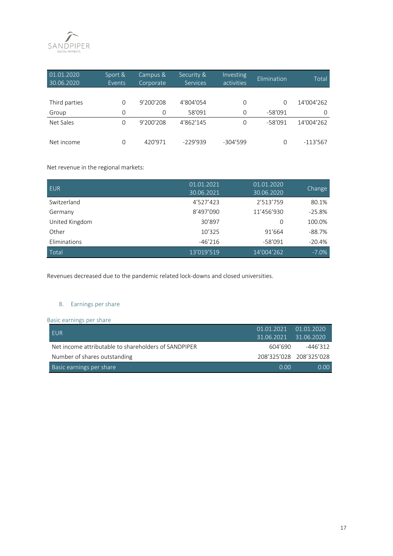

| 01.01.2020<br>30.06.2020 | Sport &<br>Events | Campus &<br>Corporate | Security &<br><b>Services</b> | Investing<br>activities | Elimination | Total      |
|--------------------------|-------------------|-----------------------|-------------------------------|-------------------------|-------------|------------|
|                          |                   |                       |                               |                         |             |            |
| Third parties            | $\Omega$          | 9'200'208             | 4'804'054                     | 0                       | O           | 14'004'262 |
| Group                    | $\Omega$          | 0                     | 58'091                        | $\Omega$                | $-58'091$   | O          |
| Net Sales                | $\Omega$          | 9'200'208             | 4'862'145                     | $\Omega$                | $-58'091$   | 14'004'262 |
| Net income               | 0                 | 420'971               | $-229'939$                    | $-304'599$              | Ω           | $-113'567$ |

Net revenue in the regional markets:

| <b>EUR</b>     | 01.01.2021 | 01.01.2020 |          |
|----------------|------------|------------|----------|
|                | 30.06.2021 | 30.06.2020 | Change   |
| Switzerland    | 4'527'423  | 2'513'759  | 80.1%    |
| Germany        | 8'497'090  | 11'456'930 | $-25.8%$ |
| United Kingdom | 30'897     | $\Omega$   | 100.0%   |
| Other          | 10'325     | 91'664     | $-88.7%$ |
| Eliminations   | $-46'216$  | $-58'091$  | $-20.4%$ |
| Total          | 13'019'519 | 14'004'262 | $-7.0%$  |

Revenues decreased due to the pandemic related lock-downs and closed universities.

# 8. Earnings per share

Basic earnings per share

| <b>FUR</b>                                           | $01.01.2021$ $01.01.2020$ |                         |
|------------------------------------------------------|---------------------------|-------------------------|
|                                                      | 31.06.2021                | 31.06.2020              |
| Net income attributable to shareholders of SANDPIPER | 604'690                   | $-446'312$              |
| Number of shares outstanding                         |                           | 208'325'028 208'325'028 |
| Basic earnings per share                             | n nn                      | $0.00 -$                |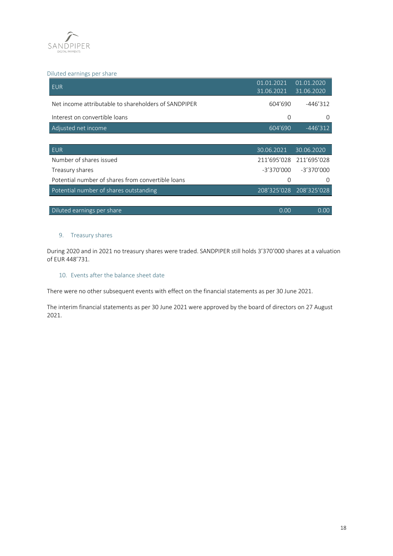

## Diluted earnings per share

| <b>EUR</b>                                           | 01.01.2021<br>31.06.2021 | 01.01.2020<br>31.06.2020 |
|------------------------------------------------------|--------------------------|--------------------------|
| Net income attributable to shareholders of SANDPIPER | 604'690                  | $-446'312$               |
| Interest on convertible loans                        | 0                        | 0                        |
| Adjusted net income                                  | 604'690                  | $-446'312$               |
|                                                      |                          |                          |
| <b>EUR</b>                                           |                          |                          |
|                                                      | 30.06.2021               | 30.06.2020               |
| Number of shares issued                              | 211'695'028              | 211'695'028              |
| Treasury shares                                      | $-3'370'000$             | $-3'370'000$             |
| Potential number of shares from convertible loans    | $\Omega$                 | $\Omega$                 |
| Potential number of shares outstanding               | 208'325'028              | 208'325'028              |
|                                                      |                          |                          |

## 9. Treasury shares

During 2020 and in 2021 no treasury shares were traded. SANDPIPER still holds 3'370'000 shares at a valuation of EUR 448'731.

## 10. Events after the balance sheet date

There were no other subsequent events with effect on the financial statements as per 30 June 2021.

The interim financial statements as per 30 June 2021 were approved by the board of directors on 27 August 2021.